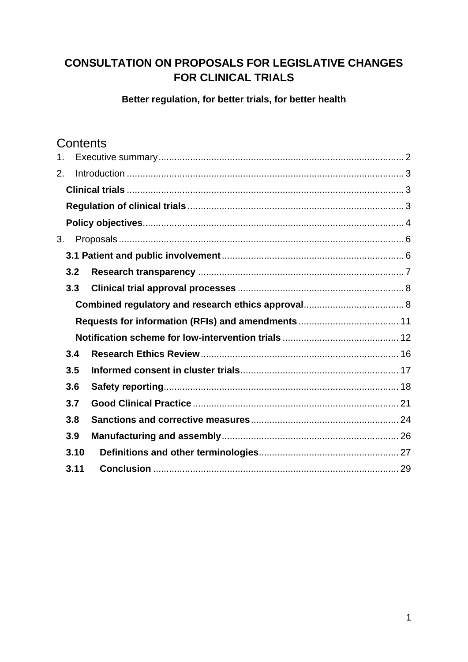# **CONSULTATION ON PROPOSALS FOR LEGISLATIVE CHANGES FOR CLINICAL TRIALS**

### **Better regulation, for better trials, for better health**

# **Contents**

| 1. |      |  |
|----|------|--|
| 2. |      |  |
|    |      |  |
|    |      |  |
|    |      |  |
| 3. |      |  |
|    |      |  |
|    | 3.2  |  |
|    | 3.3  |  |
|    |      |  |
|    |      |  |
|    |      |  |
|    | 3.4  |  |
|    | 3.5  |  |
|    | 3.6  |  |
|    | 3.7  |  |
|    | 3.8  |  |
|    | 3.9  |  |
|    | 3.10 |  |
|    | 3.11 |  |
|    |      |  |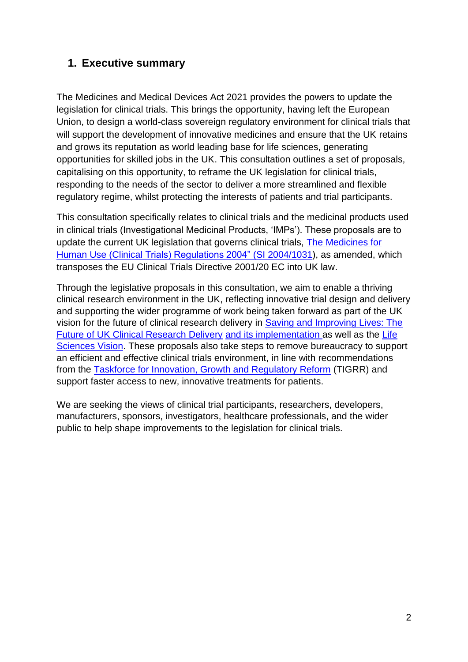# <span id="page-1-0"></span>**1. Executive summary**

The Medicines and Medical Devices Act 2021 provides the powers to update the legislation for clinical trials. This brings the opportunity, having left the European Union, to design a world-class sovereign regulatory environment for clinical trials that will support the development of innovative medicines and ensure that the UK retains and grows its reputation as world leading base for life sciences, generating opportunities for skilled jobs in the UK. This consultation outlines a set of proposals, capitalising on this opportunity, to reframe the UK legislation for clinical trials, responding to the needs of the sector to deliver a more streamlined and flexible regulatory regime, whilst protecting the interests of patients and trial participants.

This consultation specifically relates to clinical trials and the medicinal products used in clinical trials (Investigational Medicinal Products, 'IMPs'). These proposals are to update the current UK legislation that governs clinical trials, [The Medicines for](https://www.legislation.gov.uk/uksi/2004/1031/pdfs/uksi_20041031_en.pdf)  [Human Use \(Clinical Trials\) Regulations 2004"](https://www.legislation.gov.uk/uksi/2004/1031/pdfs/uksi_20041031_en.pdf) (SI 2004/1031), as amended, which transposes the EU Clinical Trials Directive 2001/20 EC into UK law.

Through the legislative proposals in this consultation, we aim to enable a thriving clinical research environment in the UK, reflecting innovative trial design and delivery and supporting the wider programme of work being taken forward as part of the UK vision for the future of clinical research delivery in [Saving and Improving Lives: The](https://www.gov.uk/government/publications/importing-investigational-medicinal-products-into-great-britain-from-approved-countries/list-of-approved-countries-for-clinical-trials-and-investigational-medicinal-products)  [Future of UK Clinical Research Delivery](https://www.gov.uk/government/publications/importing-investigational-medicinal-products-into-great-britain-from-approved-countries/list-of-approved-countries-for-clinical-trials-and-investigational-medicinal-products) and its [implementation](https://www.gov.uk/government/publications/the-future-of-uk-clinical-research-delivery-2021-to-2022-implementation-plan) as well as the [Life](https://assets.publishing.service.gov.uk/government/uploads/system/uploads/attachment_data/file/1000030/life-sciences-vision.pdf)  [Sciences Vision.](https://assets.publishing.service.gov.uk/government/uploads/system/uploads/attachment_data/file/1000030/life-sciences-vision.pdf) These proposals also take steps to remove bureaucracy to support an efficient and effective clinical trials environment, in line with recommendations from the [Taskforce for Innovation, Growth and Regulatory Reform](https://assets.publishing.service.gov.uk/government/uploads/system/uploads/attachment_data/file/994125/FINAL_TIGRR_REPORT__1_.pdf) (TIGRR) and support faster access to new, innovative treatments for patients.

We are seeking the views of clinical trial participants, researchers, developers, manufacturers, sponsors, investigators, healthcare professionals, and the wider public to help shape improvements to the legislation for clinical trials.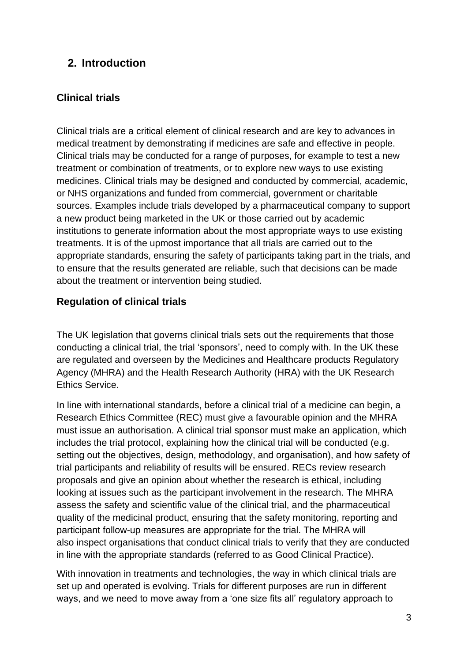# <span id="page-2-0"></span>**2. Introduction**

# <span id="page-2-1"></span>**Clinical trials**

Clinical trials are a critical element of clinical research and are key to advances in medical treatment by demonstrating if medicines are safe and effective in people. Clinical trials may be conducted for a range of purposes, for example to test a new treatment or combination of treatments, or to explore new ways to use existing medicines. Clinical trials may be designed and conducted by commercial, academic, or NHS organizations and funded from commercial, government or charitable sources. Examples include trials developed by a pharmaceutical company to support a new product being marketed in the UK or those carried out by academic institutions to generate information about the most appropriate ways to use existing treatments. It is of the upmost importance that all trials are carried out to the appropriate standards, ensuring the safety of participants taking part in the trials, and to ensure that the results generated are reliable, such that decisions can be made about the treatment or intervention being studied.

# <span id="page-2-2"></span>**Regulation of clinical trials**

The UK legislation that governs clinical trials sets out the requirements that those conducting a clinical trial, the trial 'sponsors', need to comply with. In the UK these are regulated and overseen by the Medicines and Healthcare products Regulatory Agency (MHRA) and the Health Research Authority (HRA) with the UK Research Ethics Service.

In line with international standards, before a clinical trial of a medicine can begin, a Research Ethics Committee (REC) must give a favourable opinion and the MHRA must issue an authorisation. A clinical trial sponsor must make an application, which includes the trial protocol, explaining how the clinical trial will be conducted (e.g. setting out the objectives, design, methodology, and organisation), and how safety of trial participants and reliability of results will be ensured. RECs review research proposals and give an opinion about whether the research is ethical, including looking at issues such as the participant involvement in the research. The MHRA assess the safety and scientific value of the clinical trial, and the pharmaceutical quality of the medicinal product, ensuring that the safety monitoring, reporting and participant follow-up measures are appropriate for the trial. The MHRA will also inspect organisations that conduct clinical trials to verify that they are conducted in line with the appropriate standards (referred to as Good Clinical Practice).

With innovation in treatments and technologies, the way in which clinical trials are set up and operated is evolving. Trials for different purposes are run in different ways, and we need to move away from a 'one size fits all' regulatory approach to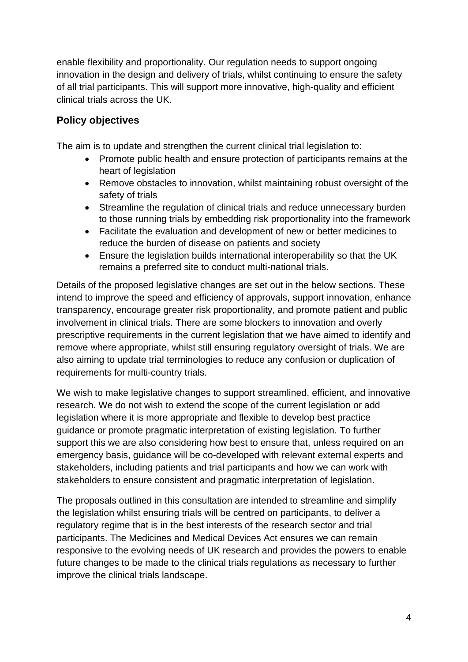enable flexibility and proportionality. Our regulation needs to support ongoing innovation in the design and delivery of trials, whilst continuing to ensure the safety of all trial participants. This will support more innovative, high-quality and efficient clinical trials across the UK.

# <span id="page-3-0"></span>**Policy objectives**

The aim is to update and strengthen the current clinical trial legislation to:

- Promote public health and ensure protection of participants remains at the heart of legislation
- Remove obstacles to innovation, whilst maintaining robust oversight of the safety of trials
- Streamline the regulation of clinical trials and reduce unnecessary burden to those running trials by embedding risk proportionality into the framework
- Facilitate the evaluation and development of new or better medicines to reduce the burden of disease on patients and society
- Ensure the legislation builds international interoperability so that the UK remains a preferred site to conduct multi-national trials.

Details of the proposed legislative changes are set out in the below sections. These intend to improve the speed and efficiency of approvals, support innovation, enhance transparency, encourage greater risk proportionality, and promote patient and public involvement in clinical trials. There are some blockers to innovation and overly prescriptive requirements in the current legislation that we have aimed to identify and remove where appropriate, whilst still ensuring regulatory oversight of trials. We are also aiming to update trial terminologies to reduce any confusion or duplication of requirements for multi-country trials.

We wish to make legislative changes to support streamlined, efficient, and innovative research. We do not wish to extend the scope of the current legislation or add legislation where it is more appropriate and flexible to develop best practice guidance or promote pragmatic interpretation of existing legislation. To further support this we are also considering how best to ensure that, unless required on an emergency basis, guidance will be co-developed with relevant external experts and stakeholders, including patients and trial participants and how we can work with stakeholders to ensure consistent and pragmatic interpretation of legislation.

The proposals outlined in this consultation are intended to streamline and simplify the legislation whilst ensuring trials will be centred on participants, to deliver a regulatory regime that is in the best interests of the research sector and trial participants. The Medicines and Medical Devices Act ensures we can remain responsive to the evolving needs of UK research and provides the powers to enable future changes to be made to the clinical trials regulations as necessary to further improve the clinical trials landscape.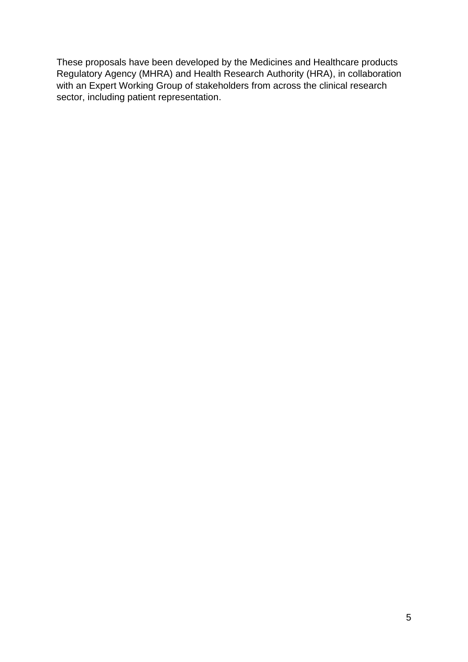These proposals have been developed by the Medicines and Healthcare products Regulatory Agency (MHRA) and Health Research Authority (HRA), in collaboration with an Expert Working Group of stakeholders from across the clinical research sector, including patient representation.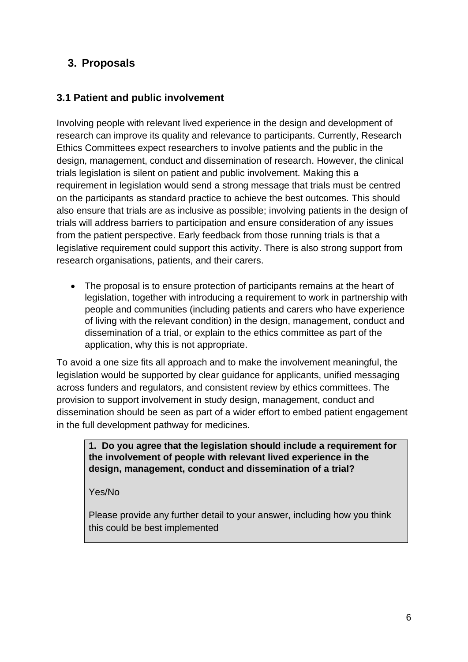# <span id="page-5-0"></span>**3. Proposals**

# <span id="page-5-1"></span>**3.1 Patient and public involvement**

Involving people with relevant lived experience in the design and development of research can improve its quality and relevance to participants. Currently, Research Ethics Committees expect researchers to involve patients and the public in the design, management, conduct and dissemination of research. However, the clinical trials legislation is silent on patient and public involvement. Making this a requirement in legislation would send a strong message that trials must be centred on the participants as standard practice to achieve the best outcomes. This should also ensure that trials are as inclusive as possible; involving patients in the design of trials will address barriers to participation and ensure consideration of any issues from the patient perspective. Early feedback from those running trials is that a legislative requirement could support this activity. There is also strong support from research organisations, patients, and their carers.

• The proposal is to ensure protection of participants remains at the heart of legislation, together with introducing a requirement to work in partnership with people and communities (including patients and carers who have experience of living with the relevant condition) in the design, management, conduct and dissemination of a trial, or explain to the ethics committee as part of the application, why this is not appropriate.

To avoid a one size fits all approach and to make the involvement meaningful, the legislation would be supported by clear guidance for applicants, unified messaging across funders and regulators, and consistent review by ethics committees. The provision to support involvement in study design, management, conduct and dissemination should be seen as part of a wider effort to embed patient engagement in the full development pathway for medicines.

**1. Do you agree that the legislation should include a requirement for the involvement of people with relevant lived experience in the design, management, conduct and dissemination of a trial?**

Yes/No

Please provide any further detail to your answer, including how you think this could be best implemented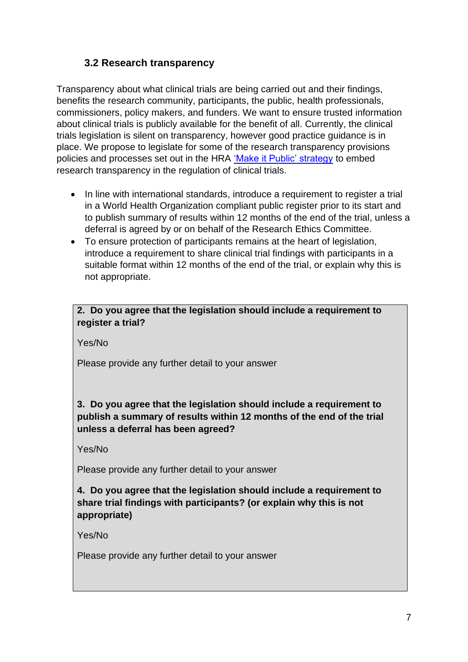# **3.2 Research transparency**

<span id="page-6-0"></span>Transparency about what clinical trials are being carried out and their findings, benefits the research community, participants, the public, health professionals, commissioners, policy makers, and funders. We want to ensure trusted information about clinical trials is publicly available for the benefit of all. Currently, the clinical trials legislation is silent on transparency, however good practice guidance is in place. We propose to legislate for some of the research transparency provisions policies and processes set out in the HRA ['Make it Public' strategy](https://www.hra.nhs.uk/planning-and-improving-research/policies-standards-legislation/research-transparency/) to embed research transparency in the regulation of clinical trials.

- In line with international standards, introduce a requirement to register a trial in a World Health Organization compliant public register prior to its start and to publish summary of results within 12 months of the end of the trial, unless a deferral is agreed by or on behalf of the Research Ethics Committee.
- To ensure protection of participants remains at the heart of legislation, introduce a requirement to share clinical trial findings with participants in a suitable format within 12 months of the end of the trial, or explain why this is not appropriate.

### **2. Do you agree that the legislation should include a requirement to register a trial?**

Yes/No

Please provide any further detail to your answer

## **3. Do you agree that the legislation should include a requirement to publish a summary of results within 12 months of the end of the trial unless a deferral has been agreed?**

Yes/No

Please provide any further detail to your answer

## **4. Do you agree that the legislation should include a requirement to share trial findings with participants? (or explain why this is not appropriate)**

Yes/No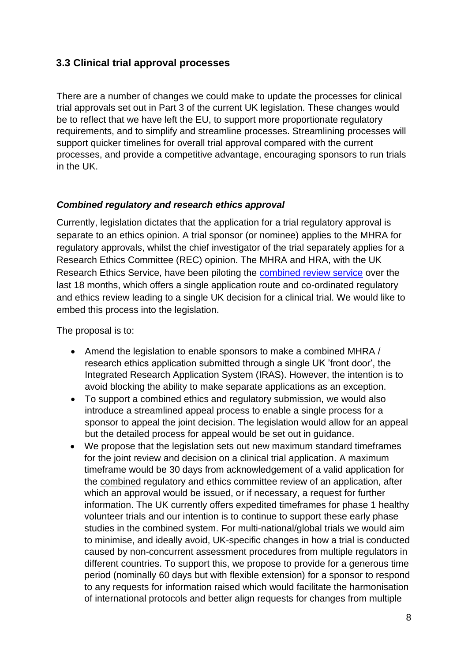## <span id="page-7-0"></span>**3.3 Clinical trial approval processes**

There are a number of changes we could make to update the processes for clinical trial approvals set out in Part 3 of the current UK legislation. These changes would be to reflect that we have left the EU, to support more proportionate regulatory requirements, and to simplify and streamline processes. Streamlining processes will support quicker timelines for overall trial approval compared with the current processes, and provide a competitive advantage, encouraging sponsors to run trials in the UK.

#### <span id="page-7-1"></span>*Combined regulatory and research ethics approval*

Currently, legislation dictates that the application for a trial regulatory approval is separate to an ethics opinion. A trial sponsor (or nominee) applies to the MHRA for regulatory approvals, whilst the chief investigator of the trial separately applies for a Research Ethics Committee (REC) opinion. The MHRA and HRA, with the UK Research Ethics Service, have been piloting the [combined review service](https://www.hra.nhs.uk/planning-and-improving-research/policies-standards-legislation/clinical-trials-investigational-medicinal-products-ctimps/combined-ways-working-pilot/) over the last 18 months, which offers a single application route and co-ordinated regulatory and ethics review leading to a single UK decision for a clinical trial. We would like to embed this process into the legislation.

The proposal is to:

- Amend the legislation to enable sponsors to make a combined MHRA / research ethics application submitted through a single UK 'front door', the Integrated Research Application System (IRAS). However, the intention is to avoid blocking the ability to make separate applications as an exception.
- To support a combined ethics and regulatory submission, we would also introduce a streamlined appeal process to enable a single process for a sponsor to appeal the joint decision. The legislation would allow for an appeal but the detailed process for appeal would be set out in guidance.
- We propose that the legislation sets out new maximum standard timeframes for the joint review and decision on a clinical trial application. A maximum timeframe would be 30 days from acknowledgement of a valid application for the combined regulatory and ethics committee review of an application, after which an approval would be issued, or if necessary, a request for further information. The UK currently offers expedited timeframes for phase 1 healthy volunteer trials and our intention is to continue to support these early phase studies in the combined system. For multi-national/global trials we would aim to minimise, and ideally avoid, UK-specific changes in how a trial is conducted caused by non-concurrent assessment procedures from multiple regulators in different countries. To support this, we propose to provide for a generous time period (nominally 60 days but with flexible extension) for a sponsor to respond to any requests for information raised which would facilitate the harmonisation of international protocols and better align requests for changes from multiple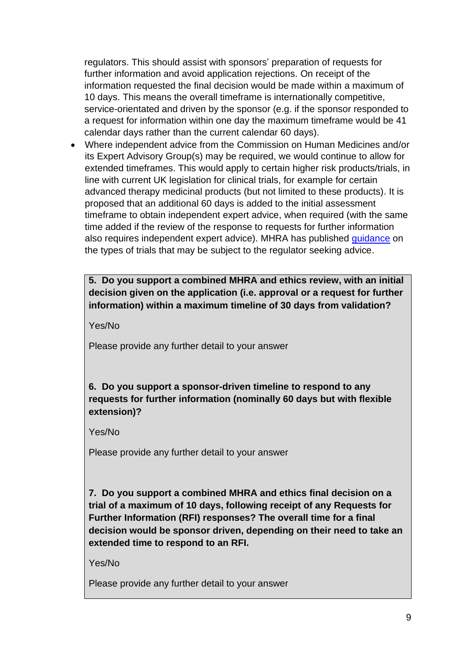regulators. This should assist with sponsors' preparation of requests for further information and avoid application rejections. On receipt of the information requested the final decision would be made within a maximum of 10 days. This means the overall timeframe is internationally competitive, service-orientated and driven by the sponsor (e.g. if the sponsor responded to a request for information within one day the maximum timeframe would be 41 calendar days rather than the current calendar 60 days).

• Where independent advice from the Commission on Human Medicines and/or its Expert Advisory Group(s) may be required, we would continue to allow for extended timeframes. This would apply to certain higher risk products/trials, in line with current UK legislation for clinical trials, for example for certain advanced therapy medicinal products (but not limited to these products). It is proposed that an additional 60 days is added to the initial assessment timeframe to obtain independent expert advice, when required (with the same time added if the review of the response to requests for further information also requires independent expert advice). MHRA has published [guidance](https://www.gov.uk/guidance/clinical-trials-for-medicines-apply-for-authorisation-in-the-uk#applications-that-need-expert-advice) on the types of trials that may be subject to the regulator seeking advice.

**5. Do you support a combined MHRA and ethics review, with an initial decision given on the application (i.e. approval or a request for further information) within a maximum timeline of 30 days from validation?** 

Yes/No

Please provide any further detail to your answer

**6. Do you support a sponsor-driven timeline to respond to any requests for further information (nominally 60 days but with flexible extension)?**

Yes/No

Please provide any further detail to your answer

**7. Do you support a combined MHRA and ethics final decision on a trial of a maximum of 10 days, following receipt of any Requests for Further Information (RFI) responses? The overall time for a final decision would be sponsor driven, depending on their need to take an extended time to respond to an RFI.** 

Yes/No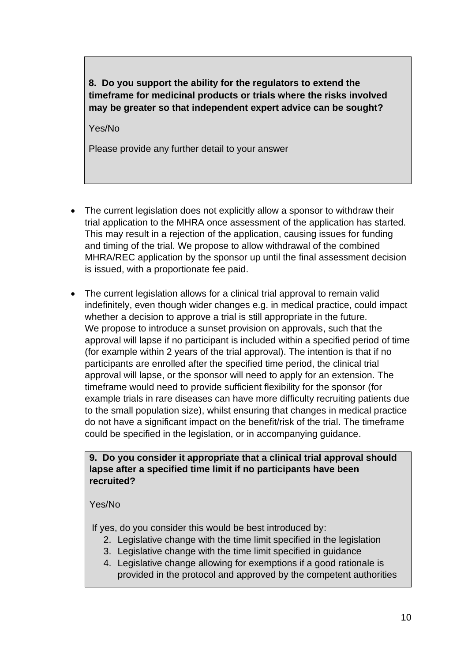**8. Do you support the ability for the regulators to extend the timeframe for medicinal products or trials where the risks involved may be greater so that independent expert advice can be sought?** 

Yes/No

Please provide any further detail to your answer

- The current legislation does not explicitly allow a sponsor to withdraw their trial application to the MHRA once assessment of the application has started. This may result in a rejection of the application, causing issues for funding and timing of the trial. We propose to allow withdrawal of the combined MHRA/REC application by the sponsor up until the final assessment decision is issued, with a proportionate fee paid.
- The current legislation allows for a clinical trial approval to remain valid indefinitely, even though wider changes e.g. in medical practice, could impact whether a decision to approve a trial is still appropriate in the future. We propose to introduce a sunset provision on approvals, such that the approval will lapse if no participant is included within a specified period of time (for example within 2 years of the trial approval). The intention is that if no participants are enrolled after the specified time period, the clinical trial approval will lapse, or the sponsor will need to apply for an extension. The timeframe would need to provide sufficient flexibility for the sponsor (for example trials in rare diseases can have more difficulty recruiting patients due to the small population size), whilst ensuring that changes in medical practice do not have a significant impact on the benefit/risk of the trial. The timeframe could be specified in the legislation, or in accompanying guidance.

#### **9. Do you consider it appropriate that a clinical trial approval should lapse after a specified time limit if no participants have been recruited?**

#### Yes/No

If yes, do you consider this would be best introduced by:

- 2. Legislative change with the time limit specified in the legislation
- 3. Legislative change with the time limit specified in guidance
- 4. Legislative change allowing for exemptions if a good rationale is provided in the protocol and approved by the competent authorities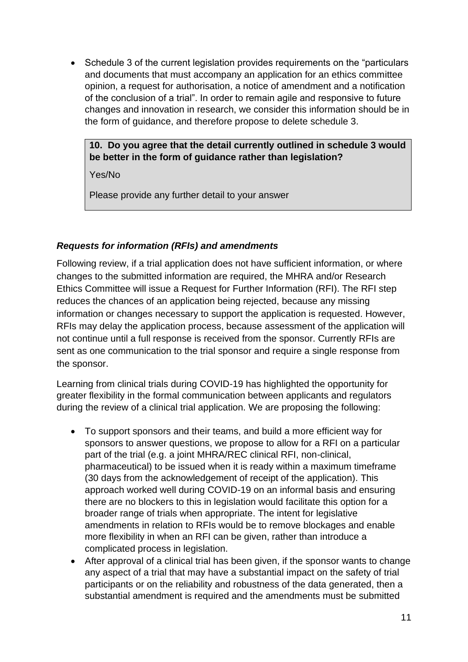• Schedule 3 of the current legislation provides requirements on the "particulars and documents that must accompany an application for an ethics committee opinion, a request for authorisation, a notice of amendment and a notification of the conclusion of a trial". In order to remain agile and responsive to future changes and innovation in research, we consider this information should be in the form of guidance, and therefore propose to delete schedule 3.

#### **10. Do you agree that the detail currently outlined in schedule 3 would be better in the form of guidance rather than legislation?**

Yes/No

Please provide any further detail to your answer

### <span id="page-10-0"></span>*Requests for information (RFIs) and amendments*

Following review, if a trial application does not have sufficient information, or where changes to the submitted information are required, the MHRA and/or Research Ethics Committee will issue a Request for Further Information (RFI). The RFI step reduces the chances of an application being rejected, because any missing information or changes necessary to support the application is requested. However, RFIs may delay the application process, because assessment of the application will not continue until a full response is received from the sponsor. Currently RFIs are sent as one communication to the trial sponsor and require a single response from the sponsor.

Learning from clinical trials during COVID-19 has highlighted the opportunity for greater flexibility in the formal communication between applicants and regulators during the review of a clinical trial application. We are proposing the following:

- To support sponsors and their teams, and build a more efficient way for sponsors to answer questions, we propose to allow for a RFI on a particular part of the trial (e.g. a joint MHRA/REC clinical RFI, non-clinical, pharmaceutical) to be issued when it is ready within a maximum timeframe (30 days from the acknowledgement of receipt of the application). This approach worked well during COVID-19 on an informal basis and ensuring there are no blockers to this in legislation would facilitate this option for a broader range of trials when appropriate. The intent for legislative amendments in relation to RFIs would be to remove blockages and enable more flexibility in when an RFI can be given, rather than introduce a complicated process in legislation.
- After approval of a clinical trial has been given, if the sponsor wants to change any aspect of a trial that may have a substantial impact on the safety of trial participants or on the reliability and robustness of the data generated, then a substantial amendment is required and the amendments must be submitted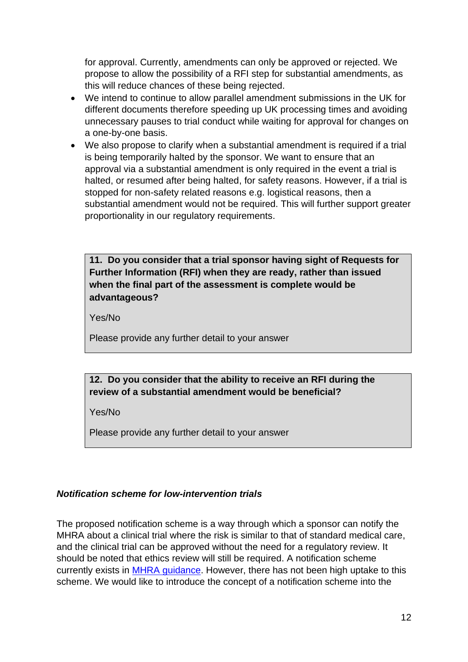for approval. Currently, amendments can only be approved or rejected. We propose to allow the possibility of a RFI step for substantial amendments, as this will reduce chances of these being rejected.

- We intend to continue to allow parallel amendment submissions in the UK for different documents therefore speeding up UK processing times and avoiding unnecessary pauses to trial conduct while waiting for approval for changes on a one-by-one basis.
- We also propose to clarify when a substantial amendment is required if a trial is being temporarily halted by the sponsor. We want to ensure that an approval via a substantial amendment is only required in the event a trial is halted, or resumed after being halted, for safety reasons. However, if a trial is stopped for non-safety related reasons e.g. logistical reasons, then a substantial amendment would not be required. This will further support greater proportionality in our regulatory requirements.

**11. Do you consider that a trial sponsor having sight of Requests for Further Information (RFI) when they are ready, rather than issued when the final part of the assessment is complete would be advantageous?**

Yes/No

Please provide any further detail to your answer

### **12. Do you consider that the ability to receive an RFI during the review of a substantial amendment would be beneficial?**

Yes/No

Please provide any further detail to your answer

#### <span id="page-11-0"></span>*Notification scheme for low-intervention trials*

The proposed notification scheme is a way through which a sponsor can notify the MHRA about a clinical trial where the risk is similar to that of standard medical care, and the clinical trial can be approved without the need for a regulatory review. It should be noted that ethics review will still be required. A notification scheme currently exists in [MHRA guidance.](https://www.gov.uk/guidance/clinical-trials-for-medicines-apply-for-authorisation-in-the-uk#notification-scheme) However, there has not been high uptake to this scheme. We would like to introduce the concept of a notification scheme into the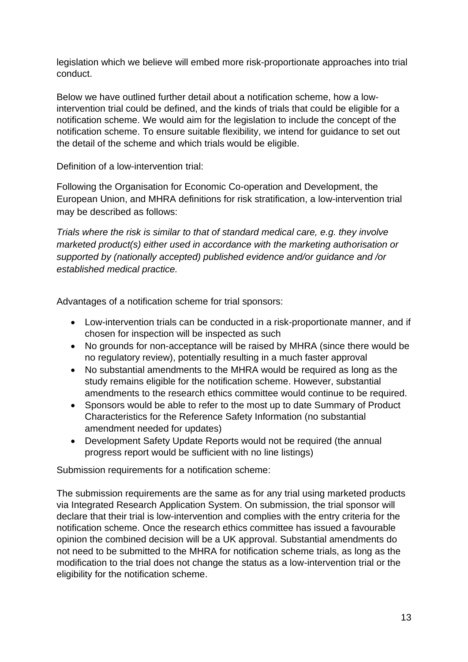legislation which we believe will embed more risk-proportionate approaches into trial conduct.

Below we have outlined further detail about a notification scheme, how a lowintervention trial could be defined, and the kinds of trials that could be eligible for a notification scheme. We would aim for the legislation to include the concept of the notification scheme. To ensure suitable flexibility, we intend for guidance to set out the detail of the scheme and which trials would be eligible.

Definition of a low-intervention trial:

Following the Organisation for Economic Co-operation and Development, the European Union, and MHRA definitions for risk stratification, a low-intervention trial may be described as follows:

*Trials where the risk is similar to that of standard medical care, e.g. they involve marketed product(s) either used in accordance with the marketing authorisation or supported by (nationally accepted) published evidence and/or guidance and /or established medical practice.* 

Advantages of a notification scheme for trial sponsors:

- Low-intervention trials can be conducted in a risk-proportionate manner, and if chosen for inspection will be inspected as such
- No grounds for non-acceptance will be raised by MHRA (since there would be no regulatory review), potentially resulting in a much faster approval
- No substantial amendments to the MHRA would be required as long as the study remains eligible for the notification scheme. However, substantial amendments to the research ethics committee would continue to be required.
- Sponsors would be able to refer to the most up to date Summary of Product Characteristics for the Reference Safety Information (no substantial amendment needed for updates)
- Development Safety Update Reports would not be required (the annual progress report would be sufficient with no line listings)

Submission requirements for a notification scheme:

The submission requirements are the same as for any trial using marketed products via Integrated Research Application System. On submission, the trial sponsor will declare that their trial is low-intervention and complies with the entry criteria for the notification scheme. Once the research ethics committee has issued a favourable opinion the combined decision will be a UK approval. Substantial amendments do not need to be submitted to the MHRA for notification scheme trials, as long as the modification to the trial does not change the status as a low-intervention trial or the eligibility for the notification scheme.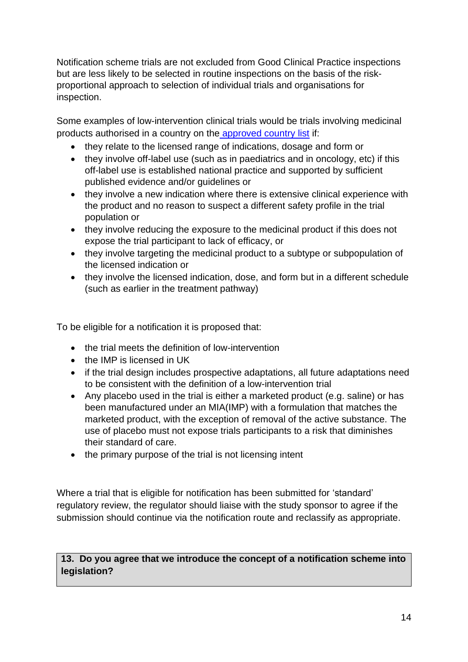Notification scheme trials are not excluded from Good Clinical Practice inspections but are less likely to be selected in routine inspections on the basis of the riskproportional approach to selection of individual trials and organisations for inspection.

Some examples of low-intervention clinical trials would be trials involving medicinal products authorised in a country on the [approved country list](https://www.legislation.gov.uk/ukpga/1998/47/section/75) if:

- they relate to the licensed range of indications, dosage and form or
- they involve off-label use (such as in paediatrics and in oncology, etc) if this off-label use is established national practice and supported by sufficient published evidence and/or guidelines or
- they involve a new indication where there is extensive clinical experience with the product and no reason to suspect a different safety profile in the trial population or
- they involve reducing the exposure to the medicinal product if this does not expose the trial participant to lack of efficacy, or
- they involve targeting the medicinal product to a subtype or subpopulation of the licensed indication or
- they involve the licensed indication, dose, and form but in a different schedule (such as earlier in the treatment pathway)

To be eligible for a notification it is proposed that:

- the trial meets the definition of low-intervention
- the IMP is licensed in UK
- if the trial design includes prospective adaptations, all future adaptations need to be consistent with the definition of a low-intervention trial
- Any placebo used in the trial is either a marketed product (e.g. saline) or has been manufactured under an MIA(IMP) with a formulation that matches the marketed product, with the exception of removal of the active substance. The use of placebo must not expose trials participants to a risk that diminishes their standard of care.
- the primary purpose of the trial is not licensing intent

Where a trial that is eligible for notification has been submitted for 'standard' regulatory review, the regulator should liaise with the study sponsor to agree if the submission should continue via the notification route and reclassify as appropriate.

# **13. Do you agree that we introduce the concept of a notification scheme into legislation?**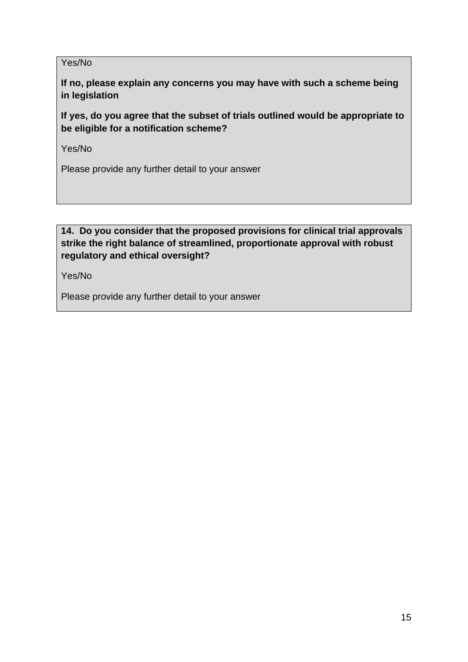#### Yes/No

**If no, please explain any concerns you may have with such a scheme being in legislation**

**If yes, do you agree that the subset of trials outlined would be appropriate to be eligible for a notification scheme?**

Yes/No

Please provide any further detail to your answer

### **14. Do you consider that the proposed provisions for clinical trial approvals strike the right balance of streamlined, proportionate approval with robust regulatory and ethical oversight?**

Yes/No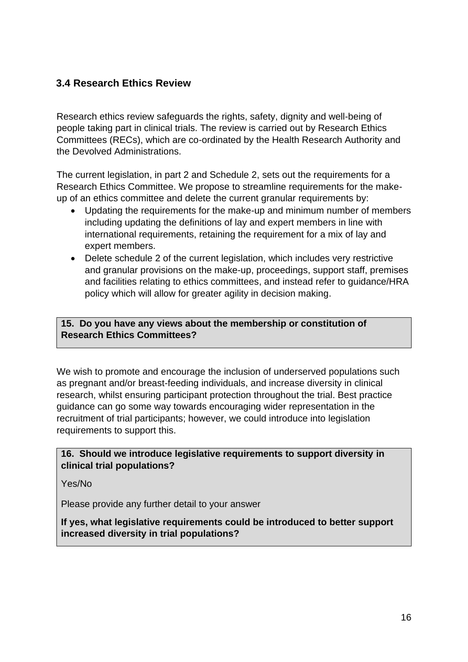# <span id="page-15-0"></span>**3.4 Research Ethics Review**

Research ethics review safeguards the rights, safety, dignity and well-being of people taking part in clinical trials. The review is carried out by Research Ethics Committees (RECs), which are co-ordinated by the Health Research Authority and the Devolved Administrations.

The current legislation, in part 2 and Schedule 2, sets out the requirements for a Research Ethics Committee. We propose to streamline requirements for the makeup of an ethics committee and delete the current granular requirements by:

- Updating the requirements for the make-up and minimum number of members including updating the definitions of lay and expert members in line with international requirements, retaining the requirement for a mix of lay and expert members.
- Delete schedule 2 of the current legislation, which includes very restrictive and granular provisions on the make-up, proceedings, support staff, premises and facilities relating to ethics committees, and instead refer to guidance/HRA policy which will allow for greater agility in decision making.

#### **15. Do you have any views about the membership or constitution of Research Ethics Committees?**

We wish to promote and encourage the inclusion of underserved populations such as pregnant and/or breast-feeding individuals, and increase diversity in clinical research, whilst ensuring participant protection throughout the trial. Best practice guidance can go some way towards encouraging wider representation in the recruitment of trial participants; however, we could introduce into legislation requirements to support this.

**16. Should we introduce legislative requirements to support diversity in clinical trial populations?**

Yes/No

Please provide any further detail to your answer

**If yes, what legislative requirements could be introduced to better support increased diversity in trial populations?**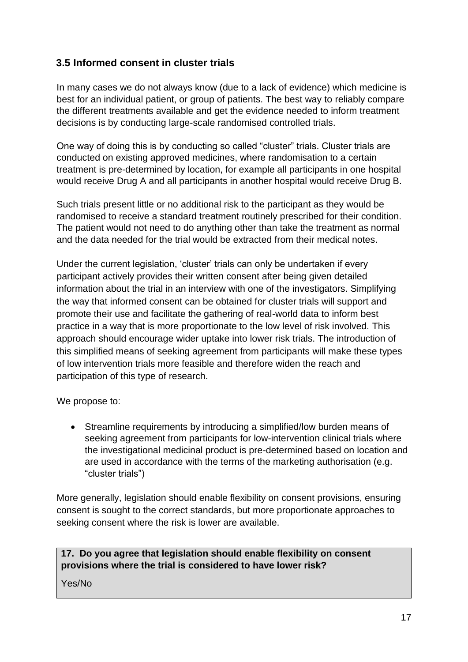# <span id="page-16-0"></span>**3.5 Informed consent in cluster trials**

In many cases we do not always know (due to a lack of evidence) which medicine is best for an individual patient, or group of patients. The best way to reliably compare the different treatments available and get the evidence needed to inform treatment decisions is by conducting large-scale randomised controlled trials.

One way of doing this is by conducting so called "cluster" trials. Cluster trials are conducted on existing approved medicines, where randomisation to a certain treatment is pre-determined by location, for example all participants in one hospital would receive Drug A and all participants in another hospital would receive Drug B.

Such trials present little or no additional risk to the participant as they would be randomised to receive a standard treatment routinely prescribed for their condition. The patient would not need to do anything other than take the treatment as normal and the data needed for the trial would be extracted from their medical notes.

Under the current legislation, 'cluster' trials can only be undertaken if every participant actively provides their written consent after being given detailed information about the trial in an interview with one of the investigators. Simplifying the way that informed consent can be obtained for cluster trials will support and promote their use and facilitate the gathering of real-world data to inform best practice in a way that is more proportionate to the low level of risk involved. This approach should encourage wider uptake into lower risk trials. The introduction of this simplified means of seeking agreement from participants will make these types of low intervention trials more feasible and therefore widen the reach and participation of this type of research.

We propose to:

• Streamline requirements by introducing a simplified/low burden means of seeking agreement from participants for low-intervention clinical trials where the investigational medicinal product is pre-determined based on location and are used in accordance with the terms of the marketing authorisation (e.g. "cluster trials")

More generally, legislation should enable flexibility on consent provisions, ensuring consent is sought to the correct standards, but more proportionate approaches to seeking consent where the risk is lower are available.

#### **17. Do you agree that legislation should enable flexibility on consent provisions where the trial is considered to have lower risk?**

Yes/No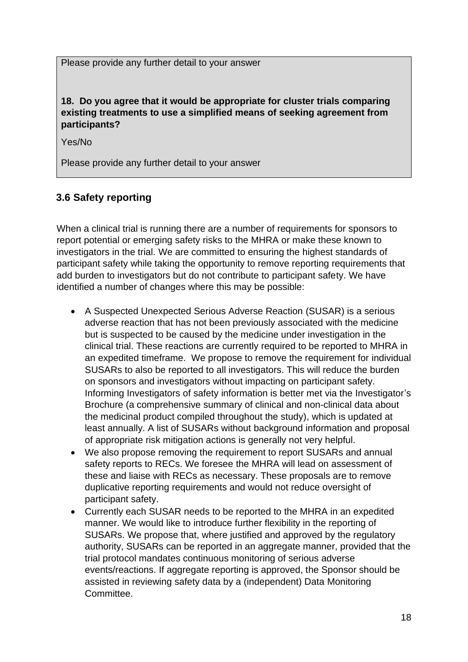Please provide any further detail to your answer

**18. Do you agree that it would be appropriate for cluster trials comparing existing treatments to use a simplified means of seeking agreement from participants?**

Yes/No

Please provide any further detail to your answer

# <span id="page-17-0"></span>**3.6 Safety reporting**

When a clinical trial is running there are a number of requirements for sponsors to report potential or emerging safety risks to the MHRA or make these known to investigators in the trial. We are committed to ensuring the highest standards of participant safety while taking the opportunity to remove reporting requirements that add burden to investigators but do not contribute to participant safety. We have identified a number of changes where this may be possible:

- A Suspected Unexpected Serious Adverse Reaction (SUSAR) is a serious adverse reaction that has not been previously associated with the medicine but is suspected to be caused by the medicine under investigation in the clinical trial. These reactions are currently required to be reported to MHRA in an expedited timeframe. We propose to remove the requirement for individual SUSARs to also be reported to all investigators. This will reduce the burden on sponsors and investigators without impacting on participant safety. Informing Investigators of safety information is better met via the Investigator's Brochure (a comprehensive summary of clinical and non-clinical data about the medicinal product compiled throughout the study), which is updated at least annually. A list of SUSARs without background information and proposal of appropriate risk mitigation actions is generally not very helpful.
- We also propose removing the requirement to report SUSARs and annual safety reports to RECs. We foresee the MHRA will lead on assessment of these and liaise with RECs as necessary. These proposals are to remove duplicative reporting requirements and would not reduce oversight of participant safety.
- Currently each SUSAR needs to be reported to the MHRA in an expedited manner. We would like to introduce further flexibility in the reporting of SUSARs. We propose that, where justified and approved by the regulatory authority, SUSARs can be reported in an aggregate manner, provided that the trial protocol mandates continuous monitoring of serious adverse events/reactions. If aggregate reporting is approved, the Sponsor should be assisted in reviewing safety data by a (independent) Data Monitoring Committee.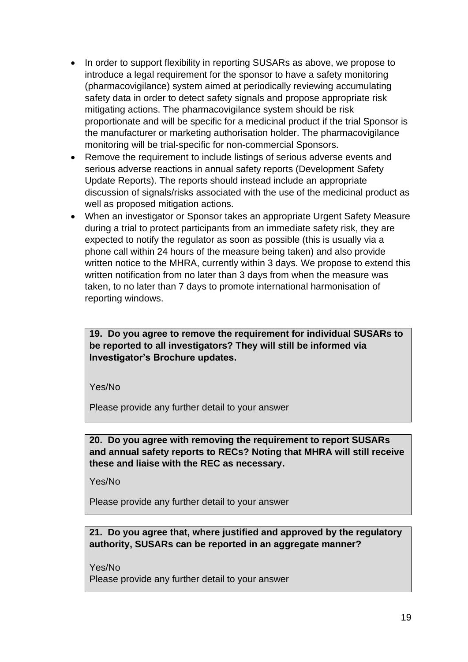- In order to support flexibility in reporting SUSARs as above, we propose to introduce a legal requirement for the sponsor to have a safety monitoring (pharmacovigilance) system aimed at periodically reviewing accumulating safety data in order to detect safety signals and propose appropriate risk mitigating actions. The pharmacovigilance system should be risk proportionate and will be specific for a medicinal product if the trial Sponsor is the manufacturer or marketing authorisation holder. The pharmacovigilance monitoring will be trial-specific for non-commercial Sponsors.
- Remove the requirement to include listings of serious adverse events and serious adverse reactions in annual safety reports (Development Safety Update Reports). The reports should instead include an appropriate discussion of signals/risks associated with the use of the medicinal product as well as proposed mitigation actions.
- When an investigator or Sponsor takes an appropriate Urgent Safety Measure during a trial to protect participants from an immediate safety risk, they are expected to notify the regulator as soon as possible (this is usually via a phone call within 24 hours of the measure being taken) and also provide written notice to the MHRA, currently within 3 days. We propose to extend this written notification from no later than 3 days from when the measure was taken, to no later than 7 days to promote international harmonisation of reporting windows.

**19. Do you agree to remove the requirement for individual SUSARs to be reported to all investigators? They will still be informed via Investigator's Brochure updates.**

Yes/No

Please provide any further detail to your answer

**20. Do you agree with removing the requirement to report SUSARs and annual safety reports to RECs? Noting that MHRA will still receive these and liaise with the REC as necessary.**

Yes/No

Please provide any further detail to your answer

#### **21. Do you agree that, where justified and approved by the regulatory authority, SUSARs can be reported in an aggregate manner?**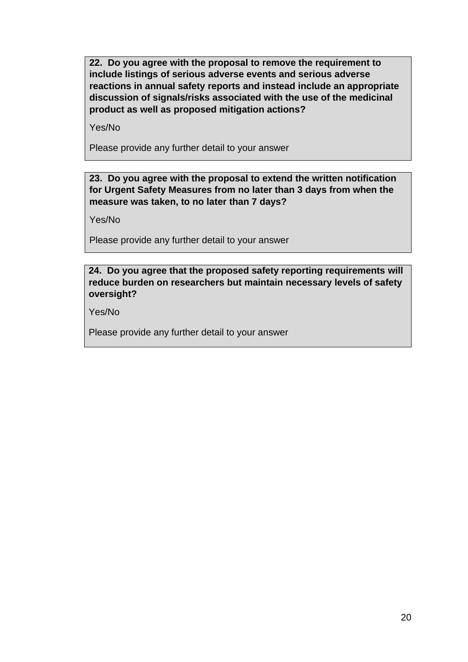**22. Do you agree with the proposal to remove the requirement to include listings of serious adverse events and serious adverse reactions in annual safety reports and instead include an appropriate discussion of signals/risks associated with the use of the medicinal product as well as proposed mitigation actions?**

Yes/No

Please provide any further detail to your answer

**23. Do you agree with the proposal to extend the written notification for Urgent Safety Measures from no later than 3 days from when the measure was taken, to no later than 7 days?**

Yes/No

Please provide any further detail to your answer

#### **24. Do you agree that the proposed safety reporting requirements will reduce burden on researchers but maintain necessary levels of safety oversight?**

Yes/No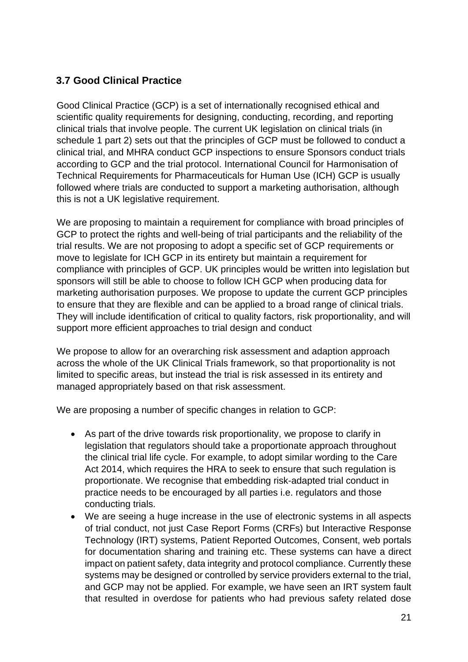# <span id="page-20-0"></span>**3.7 Good Clinical Practice**

Good Clinical Practice (GCP) is a set of internationally recognised ethical and scientific quality requirements for designing, conducting, recording, and reporting clinical trials that involve people. The current UK legislation on clinical trials (in schedule 1 part 2) sets out that the principles of GCP must be followed to conduct a clinical trial, and MHRA conduct GCP inspections to ensure Sponsors conduct trials according to GCP and the trial protocol. International Council for Harmonisation of Technical Requirements for Pharmaceuticals for Human Use (ICH) GCP is usually followed where trials are conducted to support a marketing authorisation, although this is not a UK legislative requirement.

We are proposing to maintain a requirement for compliance with broad principles of GCP to protect the rights and well-being of trial participants and the reliability of the trial results. We are not proposing to adopt a specific set of GCP requirements or move to legislate for ICH GCP in its entirety but maintain a requirement for compliance with principles of GCP. UK principles would be written into legislation but sponsors will still be able to choose to follow ICH GCP when producing data for marketing authorisation purposes. We propose to update the current GCP principles to ensure that they are flexible and can be applied to a broad range of clinical trials. They will include identification of critical to quality factors, risk proportionality, and will support more efficient approaches to trial design and conduct

We propose to allow for an overarching risk assessment and adaption approach across the whole of the UK Clinical Trials framework, so that proportionality is not limited to specific areas, but instead the trial is risk assessed in its entirety and managed appropriately based on that risk assessment.

We are proposing a number of specific changes in relation to GCP:

- As part of the drive towards risk proportionality, we propose to clarify in legislation that regulators should take a proportionate approach throughout the clinical trial life cycle. For example, to adopt similar wording to the Care Act 2014, which requires the HRA to seek to ensure that such regulation is proportionate. We recognise that embedding risk-adapted trial conduct in practice needs to be encouraged by all parties i.e. regulators and those conducting trials.
- We are seeing a huge increase in the use of electronic systems in all aspects of trial conduct, not just Case Report Forms (CRFs) but Interactive Response Technology (IRT) systems, Patient Reported Outcomes, Consent, web portals for documentation sharing and training etc. These systems can have a direct impact on patient safety, data integrity and protocol compliance. Currently these systems may be designed or controlled by service providers external to the trial, and GCP may not be applied. For example, we have seen an IRT system fault that resulted in overdose for patients who had previous safety related dose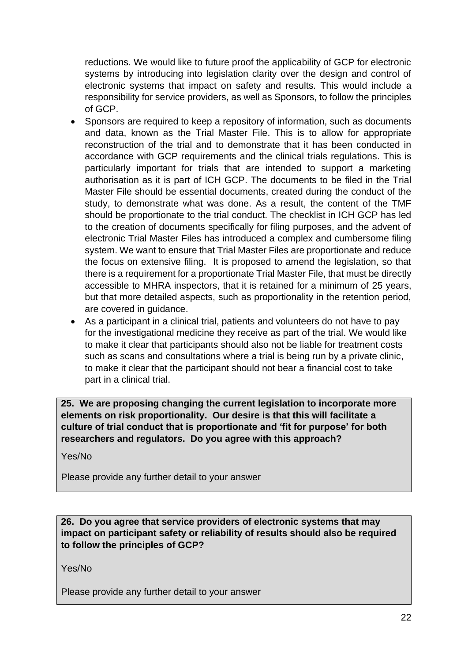reductions. We would like to future proof the applicability of GCP for electronic systems by introducing into legislation clarity over the design and control of electronic systems that impact on safety and results. This would include a responsibility for service providers, as well as Sponsors, to follow the principles of GCP.

- Sponsors are required to keep a repository of information, such as documents and data, known as the Trial Master File. This is to allow for appropriate reconstruction of the trial and to demonstrate that it has been conducted in accordance with GCP requirements and the clinical trials regulations. This is particularly important for trials that are intended to support a marketing authorisation as it is part of ICH GCP. The documents to be filed in the Trial Master File should be essential documents, created during the conduct of the study, to demonstrate what was done. As a result, the content of the TMF should be proportionate to the trial conduct. The checklist in ICH GCP has led to the creation of documents specifically for filing purposes, and the advent of electronic Trial Master Files has introduced a complex and cumbersome filing system. We want to ensure that Trial Master Files are proportionate and reduce the focus on extensive filing. It is proposed to amend the legislation, so that there is a requirement for a proportionate Trial Master File, that must be directly accessible to MHRA inspectors, that it is retained for a minimum of 25 years, but that more detailed aspects, such as proportionality in the retention period, are covered in guidance.
- As a participant in a clinical trial, patients and volunteers do not have to pay for the investigational medicine they receive as part of the trial. We would like to make it clear that participants should also not be liable for treatment costs such as scans and consultations where a trial is being run by a private clinic, to make it clear that the participant should not bear a financial cost to take part in a clinical trial.

**25. We are proposing changing the current legislation to incorporate more elements on risk proportionality. Our desire is that this will facilitate a culture of trial conduct that is proportionate and 'fit for purpose' for both researchers and regulators. Do you agree with this approach?**

Yes/No

Please provide any further detail to your answer

**26. Do you agree that service providers of electronic systems that may impact on participant safety or reliability of results should also be required to follow the principles of GCP?**

Yes/No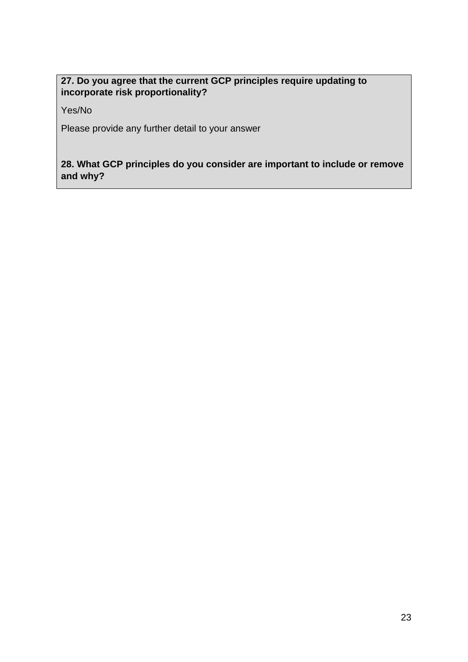## **27. Do you agree that the current GCP principles require updating to incorporate risk proportionality?**

Yes/No

Please provide any further detail to your answer

### **28. What GCP principles do you consider are important to include or remove and why?**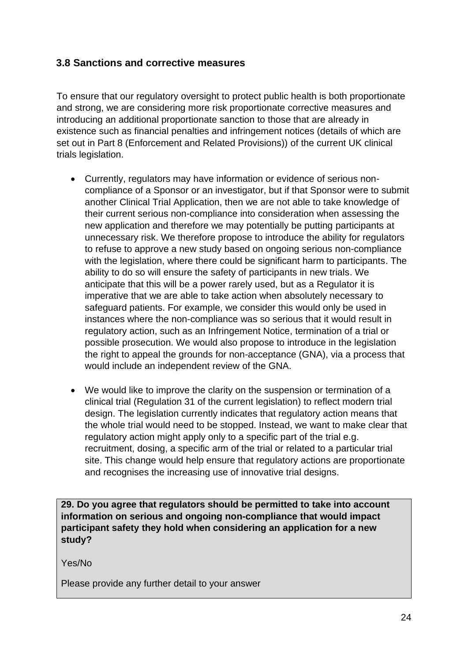### <span id="page-23-0"></span>**3.8 Sanctions and corrective measures**

To ensure that our regulatory oversight to protect public health is both proportionate and strong, we are considering more risk proportionate corrective measures and introducing an additional proportionate sanction to those that are already in existence such as financial penalties and infringement notices (details of which are set out in Part 8 (Enforcement and Related Provisions)) of the current UK clinical trials legislation.

- Currently, regulators may have information or evidence of serious noncompliance of a Sponsor or an investigator, but if that Sponsor were to submit another Clinical Trial Application, then we are not able to take knowledge of their current serious non-compliance into consideration when assessing the new application and therefore we may potentially be putting participants at unnecessary risk. We therefore propose to introduce the ability for regulators to refuse to approve a new study based on ongoing serious non-compliance with the legislation, where there could be significant harm to participants. The ability to do so will ensure the safety of participants in new trials. We anticipate that this will be a power rarely used, but as a Regulator it is imperative that we are able to take action when absolutely necessary to safeguard patients. For example, we consider this would only be used in instances where the non-compliance was so serious that it would result in regulatory action, such as an Infringement Notice, termination of a trial or possible prosecution. We would also propose to introduce in the legislation the right to appeal the grounds for non-acceptance (GNA), via a process that would include an independent review of the GNA.
- We would like to improve the clarity on the suspension or termination of a clinical trial (Regulation 31 of the current legislation) to reflect modern trial design. The legislation currently indicates that regulatory action means that the whole trial would need to be stopped. Instead, we want to make clear that regulatory action might apply only to a specific part of the trial e.g. recruitment, dosing, a specific arm of the trial or related to a particular trial site. This change would help ensure that regulatory actions are proportionate and recognises the increasing use of innovative trial designs.

**29. Do you agree that regulators should be permitted to take into account information on serious and ongoing non-compliance that would impact participant safety they hold when considering an application for a new study?**

Yes/No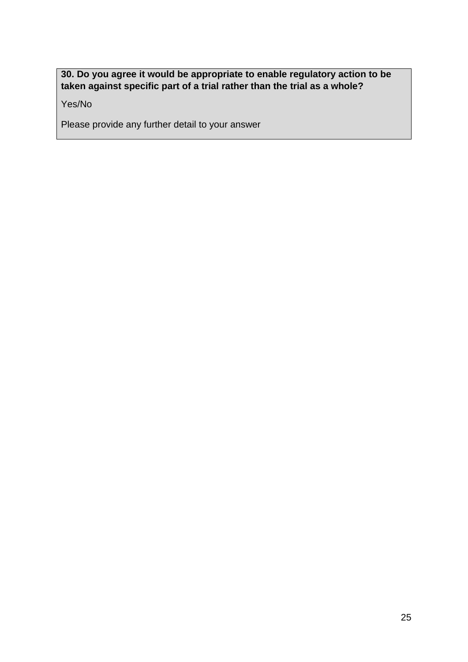### **30. Do you agree it would be appropriate to enable regulatory action to be taken against specific part of a trial rather than the trial as a whole?**

Yes/No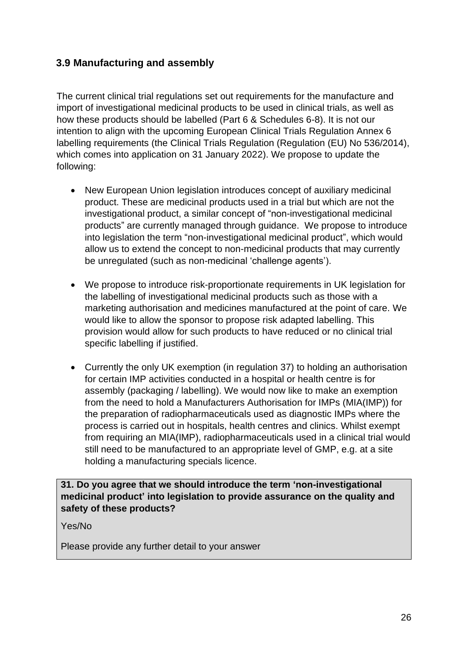## <span id="page-25-0"></span>**3.9 Manufacturing and assembly**

The current clinical trial regulations set out requirements for the manufacture and import of investigational medicinal products to be used in clinical trials, as well as how these products should be labelled (Part 6 & Schedules 6-8). It is not our intention to align with the upcoming European Clinical Trials Regulation Annex 6 labelling requirements (the Clinical Trials Regulation (Regulation (EU) No 536/2014), which comes into application on 31 January 2022). We propose to update the following:

- New European Union legislation introduces concept of auxiliary medicinal product. These are medicinal products used in a trial but which are not the investigational product, a similar concept of "non-investigational medicinal products" are currently managed through guidance. We propose to introduce into legislation the term "non-investigational medicinal product", which would allow us to extend the concept to non-medicinal products that may currently be unregulated (such as non-medicinal 'challenge agents').
- We propose to introduce risk-proportionate requirements in UK legislation for the labelling of investigational medicinal products such as those with a marketing authorisation and medicines manufactured at the point of care. We would like to allow the sponsor to propose risk adapted labelling. This provision would allow for such products to have reduced or no clinical trial specific labelling if justified.
- Currently the only UK exemption (in regulation 37) to holding an authorisation for certain IMP activities conducted in a hospital or health centre is for assembly (packaging / labelling). We would now like to make an exemption from the need to hold a Manufacturers Authorisation for IMPs (MIA(IMP)) for the preparation of radiopharmaceuticals used as diagnostic IMPs where the process is carried out in hospitals, health centres and clinics. Whilst exempt from requiring an MIA(IMP), radiopharmaceuticals used in a clinical trial would still need to be manufactured to an appropriate level of GMP, e.g. at a site holding a manufacturing specials licence.

#### **31. Do you agree that we should introduce the term 'non-investigational medicinal product' into legislation to provide assurance on the quality and safety of these products?**

Yes/No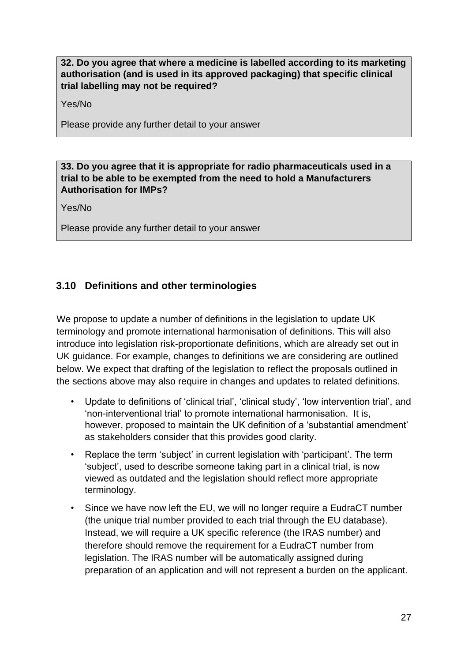**32. Do you agree that where a medicine is labelled according to its marketing authorisation (and is used in its approved packaging) that specific clinical trial labelling may not be required?**

Yes/No

Please provide any further detail to your answer

#### **33. Do you agree that it is appropriate for radio pharmaceuticals used in a trial to be able to be exempted from the need to hold a Manufacturers Authorisation for IMPs?**

Yes/No

Please provide any further detail to your answer

## <span id="page-26-0"></span>**3.10 Definitions and other terminologies**

We propose to update a number of definitions in the legislation to update UK terminology and promote international harmonisation of definitions. This will also introduce into legislation risk-proportionate definitions, which are already set out in UK guidance. For example, changes to definitions we are considering are outlined below. We expect that drafting of the legislation to reflect the proposals outlined in the sections above may also require in changes and updates to related definitions.

- Update to definitions of 'clinical trial', 'clinical study', 'low intervention trial', and 'non-interventional trial' to promote international harmonisation. It is, however, proposed to maintain the UK definition of a 'substantial amendment' as stakeholders consider that this provides good clarity.
- Replace the term 'subject' in current legislation with 'participant'. The term 'subject', used to describe someone taking part in a clinical trial, is now viewed as outdated and the legislation should reflect more appropriate terminology.
- Since we have now left the EU, we will no longer require a EudraCT number (the unique trial number provided to each trial through the EU database). Instead, we will require a UK specific reference (the IRAS number) and therefore should remove the requirement for a EudraCT number from legislation. The IRAS number will be automatically assigned during preparation of an application and will not represent a burden on the applicant.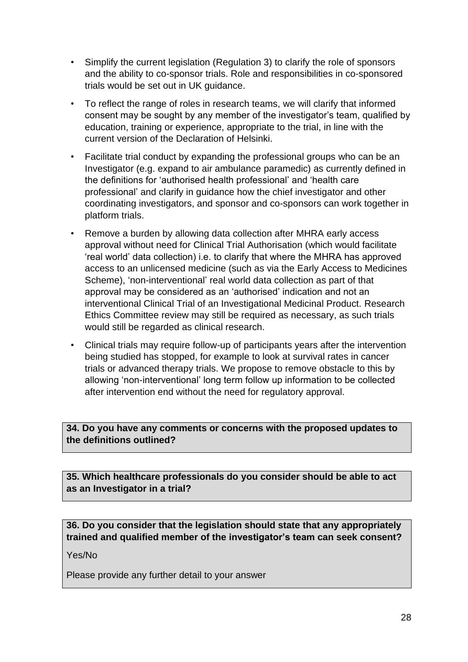- Simplify the current legislation (Regulation 3) to clarify the role of sponsors and the ability to co-sponsor trials. Role and responsibilities in co-sponsored trials would be set out in UK guidance.
- To reflect the range of roles in research teams, we will clarify that informed consent may be sought by any member of the investigator's team, qualified by education, training or experience, appropriate to the trial, in line with the current version of the Declaration of Helsinki.
- Facilitate trial conduct by expanding the professional groups who can be an Investigator (e.g. expand to air ambulance paramedic) as currently defined in the definitions for 'authorised health professional' and 'health care professional' and clarify in guidance how the chief investigator and other coordinating investigators, and sponsor and co-sponsors can work together in platform trials.
- Remove a burden by allowing data collection after MHRA early access approval without need for Clinical Trial Authorisation (which would facilitate 'real world' data collection) i.e. to clarify that where the MHRA has approved access to an unlicensed medicine (such as via the Early Access to Medicines Scheme), 'non-interventional' real world data collection as part of that approval may be considered as an 'authorised' indication and not an interventional Clinical Trial of an Investigational Medicinal Product. Research Ethics Committee review may still be required as necessary, as such trials would still be regarded as clinical research.
- Clinical trials may require follow-up of participants years after the intervention being studied has stopped, for example to look at survival rates in cancer trials or advanced therapy trials. We propose to remove obstacle to this by allowing 'non-interventional' long term follow up information to be collected after intervention end without the need for regulatory approval.

#### **34. Do you have any comments or concerns with the proposed updates to the definitions outlined?**

**35. Which healthcare professionals do you consider should be able to act as an Investigator in a trial?**

**36. Do you consider that the legislation should state that any appropriately trained and qualified member of the investigator's team can seek consent?**

Yes/No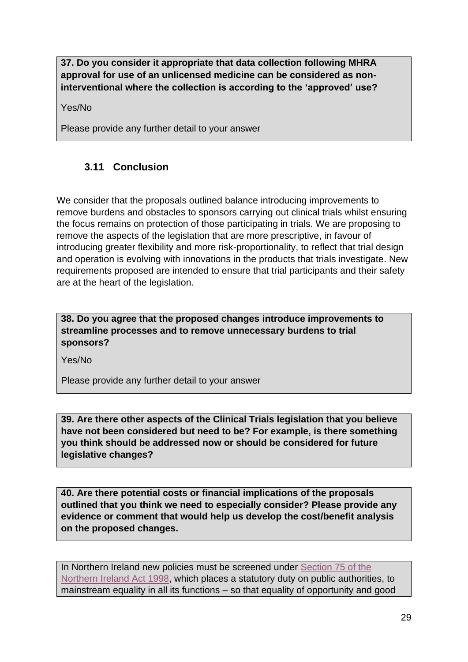**37. Do you consider it appropriate that data collection following MHRA approval for use of an unlicensed medicine can be considered as noninterventional where the collection is according to the 'approved' use?** 

Yes/No

Please provide any further detail to your answer

# <span id="page-28-0"></span>**3.11 Conclusion**

We consider that the proposals outlined balance introducing improvements to remove burdens and obstacles to sponsors carrying out clinical trials whilst ensuring the focus remains on protection of those participating in trials. We are proposing to remove the aspects of the legislation that are more prescriptive, in favour of introducing greater flexibility and more risk-proportionality, to reflect that trial design and operation is evolving with innovations in the products that trials investigate. New requirements proposed are intended to ensure that trial participants and their safety are at the heart of the legislation.

**38. Do you agree that the proposed changes introduce improvements to streamline processes and to remove unnecessary burdens to trial sponsors?** 

Yes/No

Please provide any further detail to your answer

**39. Are there other aspects of the Clinical Trials legislation that you believe have not been considered but need to be? For example, is there something you think should be addressed now or should be considered for future legislative changes?**

**40. Are there potential costs or financial implications of the proposals outlined that you think we need to especially consider? Please provide any evidence or comment that would help us develop the cost/benefit analysis on the proposed changes.**

In Northern Ireland new policies must be screened under Section 75 of the [Northern Ireland Act 1998,](https://www.legislation.gov.uk/ukpga/1998/47/section/75) which places a statutory duty on public authorities, to mainstream equality in all its functions – so that equality of opportunity and good